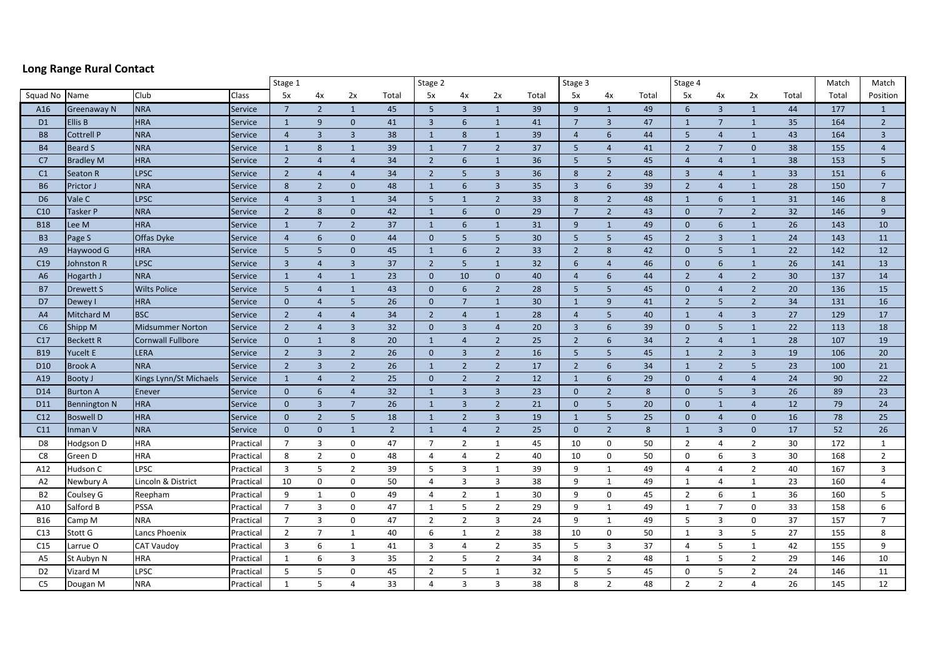## **Long Range Rural Contact**

|                 |                     |                          |           | Stage 1                 |                 |                         |                | Stage 2                 |                 |                |       | Stage 3         |                         |       | Stage 4        |                 |                |       | Match | Match          |
|-----------------|---------------------|--------------------------|-----------|-------------------------|-----------------|-------------------------|----------------|-------------------------|-----------------|----------------|-------|-----------------|-------------------------|-------|----------------|-----------------|----------------|-------|-------|----------------|
| Squad No        | Name                | Club                     | Class     | 5x                      | 4x              | 2x                      | Total          | 5x                      | 4x              | 2x             | Total | 5x              | 4x                      | Total | 5x             | 4x              | 2x             | Total | Total | Position       |
| A16             | <b>Greenaway N</b>  | <b>NRA</b>               | Service   | $\overline{7}$          | $\overline{2}$  | $\mathbf{1}$            | 45             | 5                       | $\overline{3}$  | $\mathbf{1}$   | 39    | 9               | $\mathbf{1}$            | 49    | 6              | $\overline{3}$  | $\mathbf{1}$   | 44    | 177   | $\mathbf{1}$   |
| D <sub>1</sub>  | <b>Ellis B</b>      | <b>HRA</b>               | Service   | $\mathbf{1}$            | 9               | $\mathbf{0}$            | 41             | $\overline{\mathbf{3}}$ | 6               | $\mathbf{1}$   | 41    | $7\overline{ }$ | $\overline{\mathbf{3}}$ | 47    | $\mathbf{1}$   | $\overline{7}$  | $\mathbf{1}$   | 35    | 164   | $\overline{2}$ |
| <b>B8</b>       | <b>Cottrell P</b>   | <b>NRA</b>               | Service   | $\overline{4}$          | $\overline{3}$  | $\overline{\mathbf{3}}$ | 38             | $\mathbf{1}$            | 8               | $\mathbf{1}$   | 39    | $\overline{4}$  | 6                       | 44    | 5              | $\overline{4}$  | $\mathbf{1}$   | 43    | 164   | $\overline{3}$ |
| <b>B4</b>       | <b>Beard S</b>      | <b>NRA</b>               | Service   | $\mathbf{1}$            | 8               | $\mathbf{1}$            | 39             | $\overline{1}$          | $7\overline{ }$ | $\overline{2}$ | 37    | 5               | $\overline{4}$          | 41    | $\overline{2}$ | $7\overline{ }$ | $\mathbf{0}$   | 38    | 155   | $\overline{4}$ |
| C7              | <b>Bradley M</b>    | <b>HRA</b>               | Service   | $\overline{2}$          | $\overline{4}$  | $\overline{4}$          | 34             | $\overline{2}$          | 6               | $\mathbf{1}$   | 36    | 5               | 5                       | 45    | $\overline{4}$ | $\overline{4}$  | $\mathbf{1}$   | 38    | 153   | 5              |
| C1              | Seaton R            | <b>LPSC</b>              | Service   | $\overline{2}$          | $\overline{4}$  | $\overline{4}$          | 34             | $\overline{2}$          | 5               | $\overline{3}$ | 36    | 8               | $\overline{2}$          | 48    | $\overline{3}$ | $\overline{4}$  | $\mathbf{1}$   | 33    | 151   | 6              |
| <b>B6</b>       | Prictor J           | <b>NRA</b>               | Service   | 8                       | $\overline{2}$  | $\mathbf{0}$            | 48             | $\mathbf{1}$            | 6               | $\overline{3}$ | 35    | $\overline{3}$  | $6\phantom{1}6$         | 39    | $\overline{2}$ | $\overline{4}$  | $\mathbf{1}$   | 28    | 150   | $\overline{7}$ |
| D <sub>6</sub>  | Vale C              | <b>LPSC</b>              | Service   | $\overline{4}$          | $\overline{3}$  | $\mathbf{1}$            | 34             | 5                       | $\mathbf{1}$    | $\overline{2}$ | 33    | 8               | $\overline{2}$          | 48    | $\mathbf{1}$   | 6               | $\mathbf{1}$   | 31    | 146   | 8              |
| C10             | Tasker P            | <b>NRA</b>               | Service   | $\overline{2}$          | 8               | $\mathbf{0}$            | 42             | $\mathbf{1}$            | 6               | $\mathbf{0}$   | 29    | $\overline{7}$  | $\overline{2}$          | 43    | $\mathbf{0}$   | $\overline{7}$  | $\overline{2}$ | 32    | 146   | 9              |
| <b>B18</b>      | Lee M               | <b>HRA</b>               | Service   | $\mathbf{1}$            | 7               | $\overline{2}$          | 37             | $\mathbf{1}$            | 6               | $\mathbf{1}$   | 31    | 9               | $\mathbf{1}$            | 49    | $\overline{0}$ | 6               | $\mathbf{1}$   | 26    | 143   | 10             |
| <b>B3</b>       | Page S              | <b>Offas Dyke</b>        | Service   | $\overline{4}$          | $6\phantom{1}6$ | $\mathbf{0}$            | 44             | $\overline{0}$          | 5               | 5              | 30    | 5               | 5                       | 45    | $\overline{2}$ | $\overline{3}$  | $\mathbf{1}$   | 24    | 143   | 11             |
| A9              | Haywood G           | <b>HRA</b>               | Service   | 5                       | 5               | $\mathbf{0}$            | 45             | $\mathbf{1}$            | 6               | $\overline{2}$ | 33    | $\overline{2}$  | 8                       | 42    | $\mathbf{0}$   | 5               | $\mathbf{1}$   | 22    | 142   | 12             |
| C19             | Johnston R          | <b>LPSC</b>              | Service   | $\overline{\mathbf{3}}$ | $\overline{4}$  | $\overline{\mathbf{3}}$ | 37             | $\overline{2}$          | $5\phantom{.0}$ | $\mathbf{1}$   | 32    | 6               | $\overline{4}$          | 46    | $\mathbf{0}$   | $6\overline{6}$ | $\mathbf{1}$   | 26    | 141   | 13             |
| A <sub>6</sub>  | Hogarth J           | <b>NRA</b>               | Service   | $\mathbf{1}$            | $\overline{4}$  | $\mathbf{1}$            | 23             | $\overline{0}$          | 10              | $\mathbf{0}$   | 40    | $\overline{4}$  | 6                       | 44    | $\overline{2}$ | $\overline{4}$  | $\overline{2}$ | 30    | 137   | 14             |
| <b>B7</b>       | Drewett S           | <b>Wilts Police</b>      | Service   | 5                       | $\overline{4}$  | $\mathbf{1}$            | 43             | $\overline{0}$          | 6               | $\overline{2}$ | 28    | $5\phantom{.0}$ | $5\phantom{.0}$         | 45    | $\mathbf{0}$   | $\overline{4}$  | $\overline{2}$ | 20    | 136   | 15             |
| D7              | Dewey I             | <b>HRA</b>               | Service   | $\mathbf{0}$            | $\overline{4}$  | $5\phantom{.0}$         | 26             | $\overline{0}$          | $\overline{7}$  | $\mathbf{1}$   | 30    | $\mathbf{1}$    | 9                       | 41    | $\overline{2}$ | 5 <sup>5</sup>  | $2^{\circ}$    | 34    | 131   | 16             |
| A4              | Mitchard M          | <b>BSC</b>               | Service   | $\overline{2}$          | $\overline{4}$  | $\overline{4}$          | 34             | $\overline{2}$          | $\overline{4}$  | $\mathbf{1}$   | 28    | $\overline{4}$  | 5                       | 40    | $\mathbf{1}$   | $\overline{4}$  | $\overline{3}$ | 27    | 129   | 17             |
| C6              | Shipp M             | <b>Midsummer Norton</b>  | Service   | $\overline{2}$          | $\overline{4}$  | $\overline{3}$          | 32             | $\overline{0}$          | $\overline{3}$  | $\overline{4}$ | 20    | $\overline{3}$  | 6                       | 39    | $\overline{0}$ | 5               | $\mathbf{1}$   | 22    | 113   | 18             |
| C17             | <b>Beckett R</b>    | <b>Cornwall Fullbore</b> | Service   | $\mathbf{0}$            | $\mathbf{1}$    | 8                       | 20             | $\mathbf{1}$            | $\overline{4}$  | $\overline{2}$ | 25    | $\overline{2}$  | 6                       | 34    | $\overline{2}$ | $\overline{4}$  | $\mathbf{1}$   | 28    | 107   | 19             |
| <b>B19</b>      | Yucelt E            | <b>LERA</b>              | Service   | $\overline{2}$          | $\overline{3}$  | $\overline{2}$          | 26             | $\mathbf{0}$            | $\overline{3}$  | $\overline{2}$ | 16    | 5               | 5                       | 45    | $\mathbf{1}$   | $\overline{2}$  | $\overline{3}$ | 19    | 106   | 20             |
| D <sub>10</sub> | <b>Brook A</b>      | <b>NRA</b>               | Service   | $\overline{2}$          | $\overline{3}$  | $\overline{2}$          | 26             | $\mathbf{1}$            | $\overline{2}$  | $\overline{2}$ | 17    | $\overline{2}$  | 6                       | 34    | $\mathbf{1}$   | $\overline{2}$  | 5              | 23    | 100   | 21             |
| A19             | Booty J             | Kings Lynn/St Michaels   | Service   | $\mathbf{1}$            | $\overline{4}$  | $\overline{2}$          | 25             | $\overline{0}$          | $\overline{2}$  | $\overline{2}$ | 12    | $\mathbf{1}$    | 6                       | 29    | $\mathbf{0}$   | $\overline{4}$  | $\overline{4}$ | 24    | 90    | 22             |
| D14             | <b>Burton A</b>     | Enever                   | Service   | $\mathbf{0}$            | 6               | $\overline{4}$          | 32             | $\overline{1}$          | $\overline{3}$  | $\overline{3}$ | 23    | $\overline{0}$  | $\overline{2}$          | 8     | $\overline{0}$ | 5               | $\overline{3}$ | 26    | 89    | 23             |
| D11             | <b>Bennington N</b> | <b>HRA</b>               | Service   | $\Omega$                | $\overline{3}$  | $7\overline{ }$         | 26             | $\mathbf{1}$            | $\overline{3}$  | $\overline{2}$ | 21    | $\mathbf{0}$    | 5                       | 20    | $\mathbf{0}$   | $\mathbf{1}$    | $\overline{4}$ | 12    | 79    | 24             |
| C12             | <b>Boswell D</b>    | <b>HRA</b>               | Service   | $\overline{0}$          | $\overline{2}$  | $5\phantom{.}$          | 18             | $\mathbf{1}$            | $\overline{2}$  | $\overline{3}$ | 19    | $\mathbf{1}$    | $5\phantom{.}$          | 25    | $\overline{0}$ | $\overline{4}$  | $\overline{0}$ | 16    | 78    | 25             |
| C11             | Inman V             | <b>NRA</b>               | Service   | $\mathbf{0}$            | $\mathbf{0}$    | $\mathbf{1}$            | $\overline{2}$ | $\mathbf{1}$            | $\overline{4}$  | $\overline{2}$ | 25    | $\mathbf{0}$    | $\overline{2}$          | 8     | $\mathbf{1}$   | $\overline{3}$  | $\mathbf{0}$   | 17    | 52    | 26             |
| D <sub>8</sub>  | Hodgson D           | <b>HRA</b>               | Practical | $\overline{7}$          | 3               | $\mathbf 0$             | 47             | $\overline{7}$          | $\overline{2}$  | $\mathbf{1}$   | 45    | 10              | $\mathbf 0$             | 50    | $\overline{2}$ | 4               | $\overline{2}$ | 30    | 172   | $\mathbf{1}$   |
| C8              | Green D             | <b>HRA</b>               | Practical | 8                       | $\overline{2}$  | $\mathbf 0$             | 48             | 4                       | 4               | $\overline{2}$ | 40    | 10              | $\mathbf 0$             | 50    | 0              | 6               | 3              | 30    | 168   | $\overline{2}$ |
| A12             | Hudson C            | LPSC                     | Practical | $\overline{3}$          | 5               | $\overline{2}$          | 39             | 5                       | 3               | $\mathbf{1}$   | 39    | 9               | $\mathbf{1}$            | 49    | 4              | 4               | $\overline{2}$ | 40    | 167   | $\overline{3}$ |
| A <sub>2</sub>  | Newbury A           | Lincoln & District       | Practical | 10                      | $\mathbf{0}$    | $\boldsymbol{0}$        | 50             | $\overline{4}$          | 3               | $\overline{3}$ | 38    | 9               | $\mathbf{1}$            | 49    | 1              | $\overline{4}$  | $\mathbf{1}$   | 23    | 160   | 4              |
| <b>B2</b>       | Coulsey G           | Reepham                  | Practical | 9                       | $\mathbf{1}$    | $\mathbf 0$             | 49             | 4                       | $\overline{2}$  | $\mathbf{1}$   | 30    | 9               | $\mathbf 0$             | 45    | $\overline{2}$ | 6               | $\mathbf{1}$   | 36    | 160   | 5              |
| A10             | Salford B           | <b>PSSA</b>              | Practical | $\overline{7}$          | 3               | $\mathbf 0$             | 47             | 1                       | 5               | $\overline{2}$ | 29    | 9               | $\mathbf{1}$            | 49    | 1              | $\overline{7}$  | $\mathbf{0}$   | 33    | 158   | 6              |
| <b>B16</b>      | Camp M              | <b>NRA</b>               | Practical | $\overline{7}$          | $\overline{3}$  | $\mathsf 0$             | 47             | $\overline{2}$          | $\overline{2}$  | 3              | 24    | 9               | $\mathbf{1}$            | 49    | 5              | 3               | $\mathbf 0$    | 37    | 157   | $\overline{7}$ |
| C13             | Stott G             | Lancs Phoenix            | Practical | $\overline{2}$          | $\overline{7}$  | $\mathbf{1}$            | 40             | 6                       | $\mathbf{1}$    | $\overline{2}$ | 38    | 10              | $\mathbf 0$             | 50    | 1              | 3               | 5              | 27    | 155   | 8              |
| C15             | Larrue O            | <b>CAT Vaudoy</b>        | Practical | $\overline{3}$          | 6               | $\mathbf{1}$            | 41             | $\overline{3}$          | $\overline{4}$  | $\overline{2}$ | 35    | 5               | $\overline{3}$          | 37    | $\overline{4}$ | 5               | $\mathbf{1}$   | 42    | 155   | 9              |
| A <sub>5</sub>  | St Aubyn N          | <b>HRA</b>               | Practical | 1                       | 6               | 3                       | 35             | $\overline{2}$          | 5               | $\overline{2}$ | 34    | 8               | $\overline{2}$          | 48    | 1              | 5               | $\overline{2}$ | 29    | 146   | 10             |
| D <sub>2</sub>  | Vizard M            | <b>LPSC</b>              | Practical | 5                       | 5               | $\boldsymbol{0}$        | 45             | $\overline{2}$          | 5               | $\mathbf{1}$   | 32    | 5               | 5                       | 45    | $\mathbf 0$    | 5               | $\overline{2}$ | 24    | 146   | 11             |
| C <sub>5</sub>  | Dougan M            | <b>NRA</b>               | Practical | 1                       | 5               | $\overline{a}$          | 33             | $\overline{4}$          | $\overline{3}$  | 3              | 38    | 8               | $\overline{2}$          | 48    | $\overline{2}$ | $\overline{2}$  | 4              | 26    | 145   | 12             |